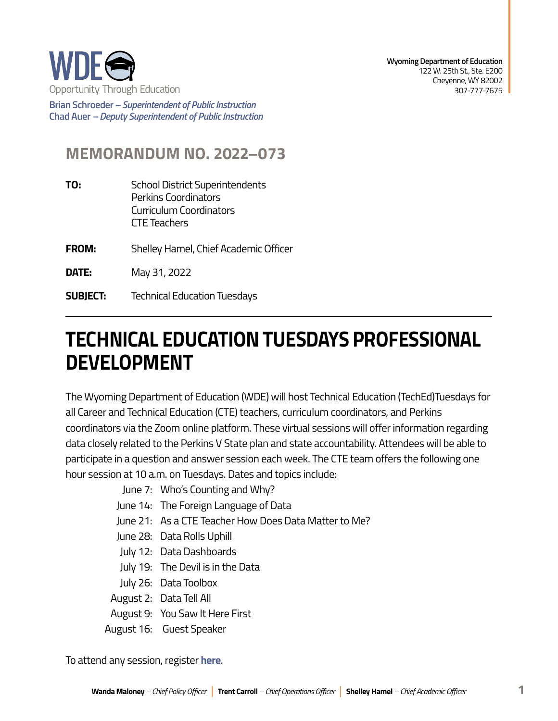

**Brian Schroeder –***Superintendent of Public Instruction*  **Chad Auer** *– Deputy Superintendent of Public Instruction* 

## **MEMORANDUM NO. 2022–073**

- **TO:** School District Superintendents Perkins Coordinators Curriculum Coordinators CTE Teachers
- **FROM:** Shelley Hamel, Chief Academic Officer
- **DATE:** May 31, 2022
- **SUBJECT:** Technical Education Tuesdays

## **TECHNICAL EDUCATION TUESDAYS PROFESSIONAL DEVELOPMENT**

The Wyoming Department of Education (WDE) will host Technical Education (TechEd)Tuesdays for all Career and Technical Education (CTE) teachers, curriculum coordinators, and Perkins coordinators via the Zoom online platform. These virtual sessions will offer information regarding data closely related to the Perkins V State plan and state accountability. Attendees will be able to participate in a question and answer session each week. The CTE team offers the following one hour session at 10 a.m. on Tuesdays. Dates and topics include:

- June 7: Who's Counting and Why?
- June 14: The Foreign Language of Data
- June 21: As a CTE Teacher How Does Data Matter to Me?
- June 28: Data Rolls Uphill
- July 12: Data Dashboards
- July 19: The Devil is in the Data
- July 26: Data Toolbox
- August 2: Data Tell All
- August 9: You Saw It Here First
- August 16: Guest Speaker

To attend any session, register **[here](https://zoom.us/j/98791867982?pwd=UzJoMDhRQVZQVW5IVi8rbXM1Y0lvZz09)**.